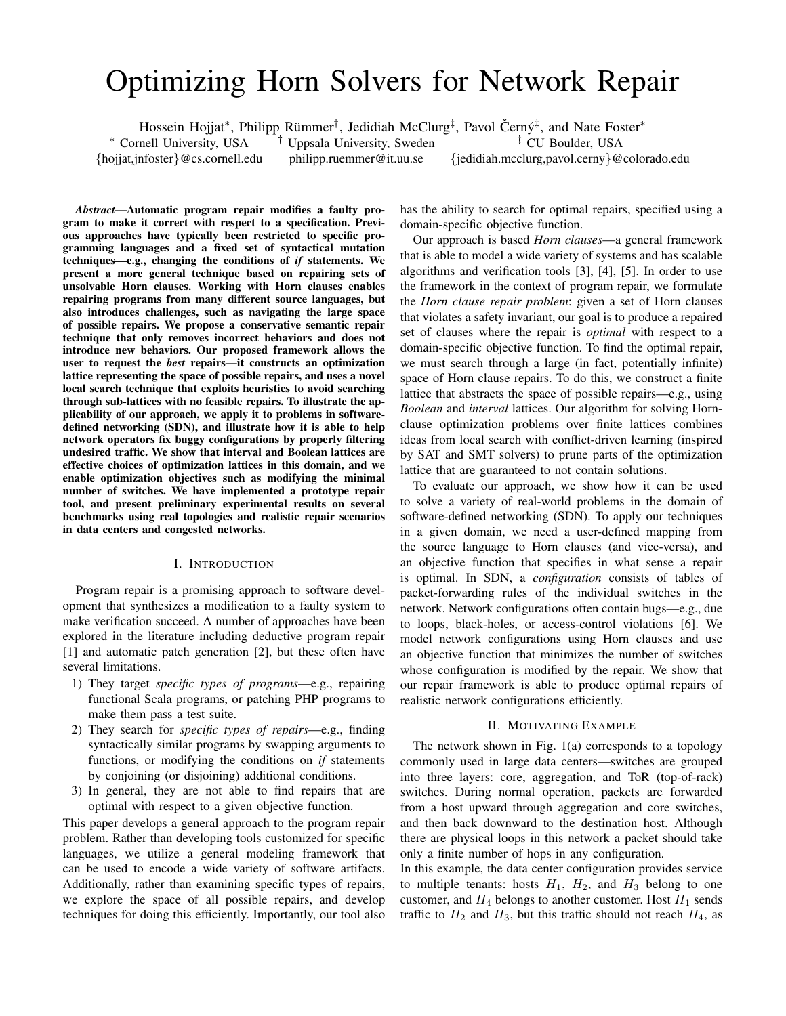# Optimizing Horn Solvers for Network Repair

Hossein Hojjat\*, Philipp Rümmer<sup>†</sup>, Jedidiah McClurg<sup>‡</sup>, Pavol Černý<sup>‡</sup>, and Nate Foster\*

<sup>∗</sup> Cornell University, USA {hojjat,jnfoster}@cs.cornell.edu philipp.ruemmer@it.uu.se

† Uppsala University, Sweden

‡ CU Boulder, USA {jedidiah.mcclurg,pavol.cerny}@colorado.edu

*Abstract*—Automatic program repair modifies a faulty program to make it correct with respect to a specification. Previous approaches have typically been restricted to specific programming languages and a fixed set of syntactical mutation techniques—e.g., changing the conditions of *if* statements. We present a more general technique based on repairing sets of unsolvable Horn clauses. Working with Horn clauses enables repairing programs from many different source languages, but also introduces challenges, such as navigating the large space of possible repairs. We propose a conservative semantic repair technique that only removes incorrect behaviors and does not introduce new behaviors. Our proposed framework allows the user to request the *best* repairs—it constructs an optimization lattice representing the space of possible repairs, and uses a novel local search technique that exploits heuristics to avoid searching through sub-lattices with no feasible repairs. To illustrate the applicability of our approach, we apply it to problems in softwaredefined networking (SDN), and illustrate how it is able to help network operators fix buggy configurations by properly filtering undesired traffic. We show that interval and Boolean lattices are effective choices of optimization lattices in this domain, and we enable optimization objectives such as modifying the minimal number of switches. We have implemented a prototype repair tool, and present preliminary experimental results on several benchmarks using real topologies and realistic repair scenarios in data centers and congested networks.

# I. INTRODUCTION

Program repair is a promising approach to software development that synthesizes a modification to a faulty system to make verification succeed. A number of approaches have been explored in the literature including deductive program repair [1] and automatic patch generation [2], but these often have several limitations.

- 1) They target *specific types of programs*—e.g., repairing functional Scala programs, or patching PHP programs to make them pass a test suite.
- 2) They search for *specific types of repairs*—e.g., finding syntactically similar programs by swapping arguments to functions, or modifying the conditions on *if* statements by conjoining (or disjoining) additional conditions.
- 3) In general, they are not able to find repairs that are optimal with respect to a given objective function.

This paper develops a general approach to the program repair problem. Rather than developing tools customized for specific languages, we utilize a general modeling framework that can be used to encode a wide variety of software artifacts. Additionally, rather than examining specific types of repairs, we explore the space of all possible repairs, and develop techniques for doing this efficiently. Importantly, our tool also

has the ability to search for optimal repairs, specified using a domain-specific objective function.

Our approach is based *Horn clauses*—a general framework that is able to model a wide variety of systems and has scalable algorithms and verification tools [3], [4], [5]. In order to use the framework in the context of program repair, we formulate the *Horn clause repair problem*: given a set of Horn clauses that violates a safety invariant, our goal is to produce a repaired set of clauses where the repair is *optimal* with respect to a domain-specific objective function. To find the optimal repair, we must search through a large (in fact, potentially infinite) space of Horn clause repairs. To do this, we construct a finite lattice that abstracts the space of possible repairs—e.g., using *Boolean* and *interval* lattices. Our algorithm for solving Hornclause optimization problems over finite lattices combines ideas from local search with conflict-driven learning (inspired by SAT and SMT solvers) to prune parts of the optimization lattice that are guaranteed to not contain solutions.

To evaluate our approach, we show how it can be used to solve a variety of real-world problems in the domain of software-defined networking (SDN). To apply our techniques in a given domain, we need a user-defined mapping from the source language to Horn clauses (and vice-versa), and an objective function that specifies in what sense a repair is optimal. In SDN, a *configuration* consists of tables of packet-forwarding rules of the individual switches in the network. Network configurations often contain bugs—e.g., due to loops, black-holes, or access-control violations [6]. We model network configurations using Horn clauses and use an objective function that minimizes the number of switches whose configuration is modified by the repair. We show that our repair framework is able to produce optimal repairs of realistic network configurations efficiently.

## II. MOTIVATING EXAMPLE

The network shown in Fig. 1(a) corresponds to a topology commonly used in large data centers—switches are grouped into three layers: core, aggregation, and ToR (top-of-rack) switches. During normal operation, packets are forwarded from a host upward through aggregation and core switches, and then back downward to the destination host. Although there are physical loops in this network a packet should take only a finite number of hops in any configuration.

In this example, the data center configuration provides service to multiple tenants: hosts  $H_1$ ,  $H_2$ , and  $H_3$  belong to one customer, and  $H_4$  belongs to another customer. Host  $H_1$  sends traffic to  $H_2$  and  $H_3$ , but this traffic should not reach  $H_4$ , as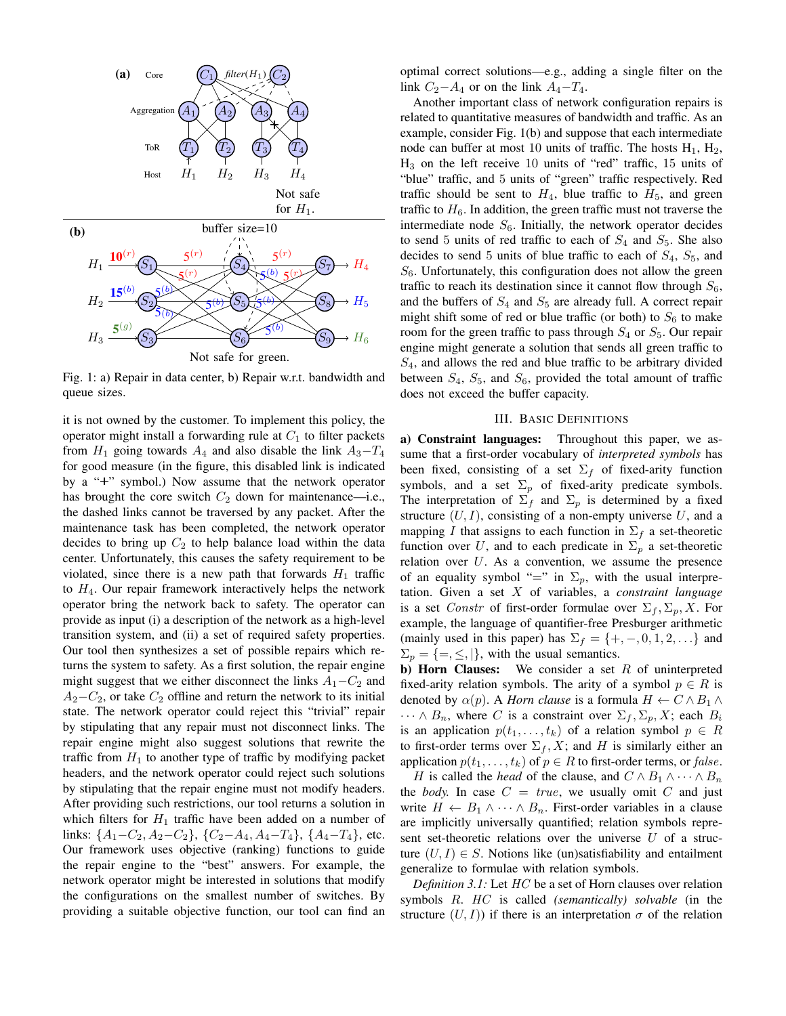

Fig. 1: a) Repair in data center, b) Repair w.r.t. bandwidth and queue sizes.

it is not owned by the customer. To implement this policy, the operator might install a forwarding rule at  $C_1$  to filter packets from  $H_1$  going towards  $A_4$  and also disable the link  $A_3 - T_4$ for good measure (in the figure, this disabled link is indicated by a "+" symbol.) Now assume that the network operator has brought the core switch  $C_2$  down for maintenance—i.e., the dashed links cannot be traversed by any packet. After the maintenance task has been completed, the network operator decides to bring up  $C_2$  to help balance load within the data center. Unfortunately, this causes the safety requirement to be violated, since there is a new path that forwards  $H_1$  traffic to  $H_4$ . Our repair framework interactively helps the network operator bring the network back to safety. The operator can provide as input (i) a description of the network as a high-level transition system, and (ii) a set of required safety properties. Our tool then synthesizes a set of possible repairs which returns the system to safety. As a first solution, the repair engine might suggest that we either disconnect the links  $A_1-C_2$  and  $A_2-C_2$ , or take  $C_2$  offline and return the network to its initial state. The network operator could reject this "trivial" repair by stipulating that any repair must not disconnect links. The repair engine might also suggest solutions that rewrite the traffic from  $H_1$  to another type of traffic by modifying packet headers, and the network operator could reject such solutions by stipulating that the repair engine must not modify headers. After providing such restrictions, our tool returns a solution in which filters for  $H_1$  traffic have been added on a number of links:  $\{A_1 - C_2, A_2 - C_2\}$ ,  $\{C_2 - A_4, A_4 - T_4\}$ ,  $\{A_4 - T_4\}$ , etc. Our framework uses objective (ranking) functions to guide the repair engine to the "best" answers. For example, the network operator might be interested in solutions that modify the configurations on the smallest number of switches. By providing a suitable objective function, our tool can find an

optimal correct solutions—e.g., adding a single filter on the link  $C_2-A_4$  or on the link  $A_4-T_4$ .

Another important class of network configuration repairs is related to quantitative measures of bandwidth and traffic. As an example, consider Fig. 1(b) and suppose that each intermediate node can buffer at most 10 units of traffic. The hosts  $H_1$ ,  $H_2$ ,  $H_3$  on the left receive 10 units of "red" traffic, 15 units of "blue" traffic, and 5 units of "green" traffic respectively. Red traffic should be sent to  $H_4$ , blue traffic to  $H_5$ , and green traffic to  $H_6$ . In addition, the green traffic must not traverse the intermediate node  $S_6$ . Initially, the network operator decides to send 5 units of red traffic to each of  $S_4$  and  $S_5$ . She also decides to send 5 units of blue traffic to each of  $S_4$ ,  $S_5$ , and  $S_6$ . Unfortunately, this configuration does not allow the green traffic to reach its destination since it cannot flow through  $S_6$ , and the buffers of  $S_4$  and  $S_5$  are already full. A correct repair might shift some of red or blue traffic (or both) to  $S_6$  to make room for the green traffic to pass through  $S_4$  or  $S_5$ . Our repair engine might generate a solution that sends all green traffic to  $S<sub>4</sub>$ , and allows the red and blue traffic to be arbitrary divided between  $S_4$ ,  $S_5$ , and  $S_6$ , provided the total amount of traffic does not exceed the buffer capacity.

#### III. BASIC DEFINITIONS

a) Constraint languages: Throughout this paper, we assume that a first-order vocabulary of *interpreted symbols* has been fixed, consisting of a set  $\Sigma_f$  of fixed-arity function symbols, and a set  $\Sigma_p$  of fixed-arity predicate symbols. The interpretation of  $\Sigma_f$  and  $\Sigma_p$  is determined by a fixed structure  $(U, I)$ , consisting of a non-empty universe U, and a mapping I that assigns to each function in  $\Sigma_f$  a set-theoretic function over U, and to each predicate in  $\Sigma_p$  a set-theoretic relation over  $U$ . As a convention, we assume the presence of an equality symbol "=" in  $\Sigma_p$ , with the usual interpretation. Given a set X of variables, a *constraint language* is a set *Constr* of first-order formulae over  $\Sigma_f$ ,  $\Sigma_p$ , X. For example, the language of quantifier-free Presburger arithmetic (mainly used in this paper) has  $\Sigma_f = \{+, -, 0, 1, 2, \ldots\}$  and  $\Sigma_p = \{ =, \leq, \ldots \}$ , with the usual semantics.

**b)** Horn Clauses: We consider a set  $R$  of uninterpreted fixed-arity relation symbols. The arity of a symbol  $p \in R$  is denoted by  $\alpha(p)$ . A *Horn clause* is a formula  $H \leftarrow C \wedge B_1 \wedge$  $\cdots \wedge B_n$ , where C is a constraint over  $\Sigma_f$ ,  $\Sigma_p$ , X; each  $B_i$ is an application  $p(t_1, \ldots, t_k)$  of a relation symbol  $p \in R$ to first-order terms over  $\Sigma_f$ , X; and H is similarly either an application  $p(t_1, \ldots, t_k)$  of  $p \in R$  to first-order terms, or *false*.

H is called the *head* of the clause, and  $C \wedge B_1 \wedge \cdots \wedge B_n$ the *body*. In case  $C = true$ , we usually omit C and just write  $H \leftarrow B_1 \wedge \cdots \wedge B_n$ . First-order variables in a clause are implicitly universally quantified; relation symbols represent set-theoretic relations over the universe  $U$  of a structure  $(U, I) \in S$ . Notions like (un)satisfiability and entailment generalize to formulae with relation symbols.

*Definition 3.1:* Let *HC* be a set of Horn clauses over relation symbols R. HC is called *(semantically) solvable* (in the structure  $(U, I)$ ) if there is an interpretation  $\sigma$  of the relation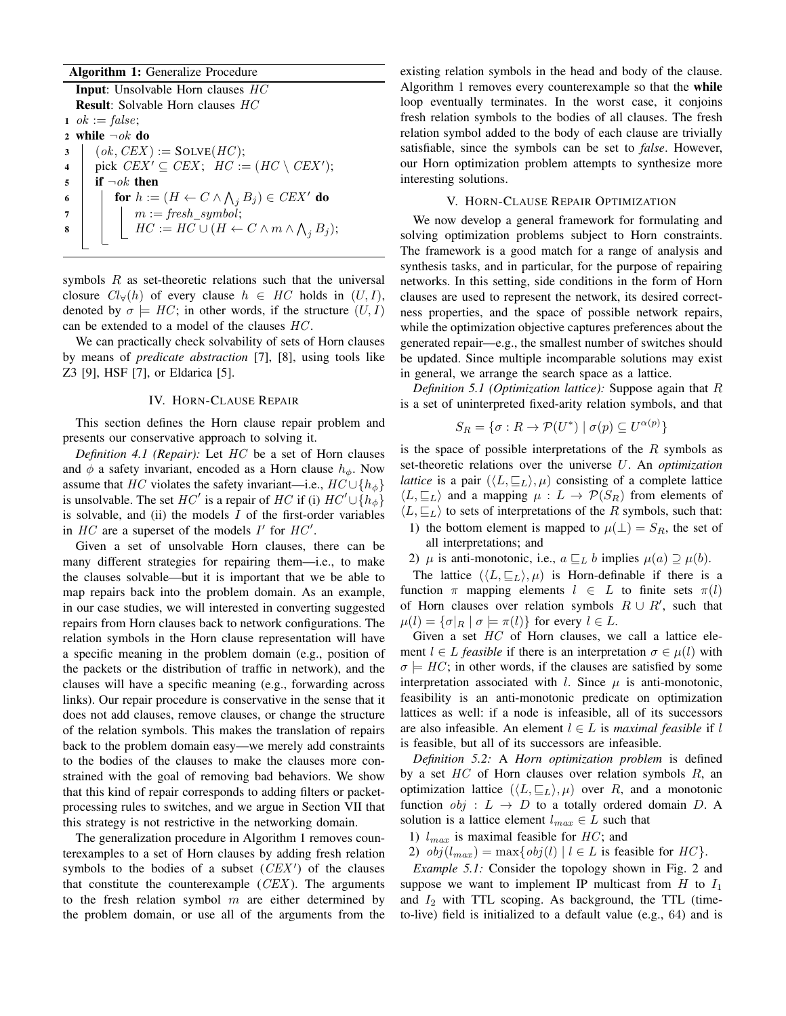# Algorithm 1: Generalize Procedure

Input: Unsolvable Horn clauses HC Result: Solvable Horn clauses HC 1 *ok* := *false*; 2 while  $\neg$ ok do  $3 \mid (ok, CEX) := SOLVE(HC);$ 4 | pick  $CEX' \subseteq CEX$ ;  $HC := (HC \setminus CEX')$ ;  $5 \mid$  if  $\neg ok$  then  $\begin{array}{|c|c|c|}\hline \textbf{6} & \textbf{6} & \textbf{6} & \textbf{6} & \textbf{6} & \textbf{6} & \textbf{6} & \textbf{6} & \textbf{6} & \textbf{6} & \textbf{6} & \textbf{6} & \textbf{6} & \textbf{6} & \textbf{6} & \textbf{6} & \textbf{6} & \textbf{6} & \textbf{6} & \textbf{6} & \textbf{6} & \textbf{6} & \textbf{6} & \textbf{6} & \textbf{6} & \textbf{6} & \textbf{6} & \textbf{6} & \textbf{6} & \text$  $\begin{array}{ccc} \texttt{7} & | & | & m := \textit{fresh\_symbol}; \end{array}$ 8  $\parallel$   $\parallel$   $HC := HC \cup (H \leftarrow C \wedge m \wedge \bigwedge_j B_j);$ 

symbols  $R$  as set-theoretic relations such that the universal closure  $Cl_{\forall}(h)$  of every clause  $h \in HC$  holds in  $(U, I)$ , denoted by  $\sigma \models HC$ ; in other words, if the structure  $(U, I)$ can be extended to a model of the clauses HC .

We can practically check solvability of sets of Horn clauses by means of *predicate abstraction* [7], [8], using tools like Z3 [9], HSF [7], or Eldarica [5].

# IV. HORN-CLAUSE REPAIR

This section defines the Horn clause repair problem and presents our conservative approach to solving it.

*Definition 4.1 (Repair):* Let HC be a set of Horn clauses and  $\phi$  a safety invariant, encoded as a Horn clause  $h_{\phi}$ . Now assume that HC violates the safety invariant—i.e.,  $HC \cup \{h_{\phi}\}\$ is unsolvable. The set  $HC'$  is a repair of  $HC$  if (i)  $HC' \cup \overline{\{h_{\phi}\}}$ is solvable, and (ii) the models  $I$  of the first-order variables in  $HC$  are a superset of the models  $I'$  for  $HC'$ .

Given a set of unsolvable Horn clauses, there can be many different strategies for repairing them—i.e., to make the clauses solvable—but it is important that we be able to map repairs back into the problem domain. As an example, in our case studies, we will interested in converting suggested repairs from Horn clauses back to network configurations. The relation symbols in the Horn clause representation will have a specific meaning in the problem domain (e.g., position of the packets or the distribution of traffic in network), and the clauses will have a specific meaning (e.g., forwarding across links). Our repair procedure is conservative in the sense that it does not add clauses, remove clauses, or change the structure of the relation symbols. This makes the translation of repairs back to the problem domain easy—we merely add constraints to the bodies of the clauses to make the clauses more constrained with the goal of removing bad behaviors. We show that this kind of repair corresponds to adding filters or packetprocessing rules to switches, and we argue in Section VII that this strategy is not restrictive in the networking domain.

The generalization procedure in Algorithm 1 removes counterexamples to a set of Horn clauses by adding fresh relation symbols to the bodies of a subset  $(CEX')$  of the clauses that constitute the counterexample  $(CEX)$ . The arguments to the fresh relation symbol  $m$  are either determined by the problem domain, or use all of the arguments from the existing relation symbols in the head and body of the clause. Algorithm 1 removes every counterexample so that the while loop eventually terminates. In the worst case, it conjoins fresh relation symbols to the bodies of all clauses. The fresh relation symbol added to the body of each clause are trivially satisfiable, since the symbols can be set to *false*. However, our Horn optimization problem attempts to synthesize more interesting solutions.

# V. HORN-CLAUSE REPAIR OPTIMIZATION

We now develop a general framework for formulating and solving optimization problems subject to Horn constraints. The framework is a good match for a range of analysis and synthesis tasks, and in particular, for the purpose of repairing networks. In this setting, side conditions in the form of Horn clauses are used to represent the network, its desired correctness properties, and the space of possible network repairs, while the optimization objective captures preferences about the generated repair—e.g., the smallest number of switches should be updated. Since multiple incomparable solutions may exist in general, we arrange the search space as a lattice.

*Definition 5.1 (Optimization lattice):* Suppose again that R is a set of uninterpreted fixed-arity relation symbols, and that

$$
S_R = \{ \sigma : R \to \mathcal{P}(U^*) \mid \sigma(p) \subseteq U^{\alpha(p)} \}
$$

is the space of possible interpretations of the  $R$  symbols as set-theoretic relations over the universe U. An *optimization lattice* is a pair  $(\langle L, \underline{\sqsubseteq_L} \rangle, \mu)$  consisting of a complete lattice  $\langle L, \sqsubseteq_L \rangle$  and a mapping  $\mu : L \to \mathcal{P}(S_R)$  from elements of  $\langle L, \sqsubseteq_L \rangle$  to sets of interpretations of the R symbols, such that: 1) the bottom element is mapped to  $\mu(\perp) = S_R$ , the set of all interpretations; and

2)  $\mu$  is anti-monotonic, i.e.,  $a \sqsubseteq_L b$  implies  $\mu(a) \supseteq \mu(b)$ .

The lattice  $(\langle L, \sqsubseteq_L \rangle, \mu)$  is Horn-definable if there is a function  $\pi$  mapping elements  $l \in L$  to finite sets  $\pi(l)$ of Horn clauses over relation symbols  $R \cup R'$ , such that  $\mu(l) = {\{\sigma|_R \mid \sigma \models \pi(l)\}}$  for every  $l \in L$ .

Given a set  $HC$  of Horn clauses, we call a lattice element  $l \in L$  *feasible* if there is an interpretation  $\sigma \in \mu(l)$  with  $\sigma \models HC$ ; in other words, if the clauses are satisfied by some interpretation associated with *l*. Since  $\mu$  is anti-monotonic, feasibility is an anti-monotonic predicate on optimization lattices as well: if a node is infeasible, all of its successors are also infeasible. An element  $l \in L$  is *maximal feasible* if l is feasible, but all of its successors are infeasible.

*Definition 5.2:* A *Horn optimization problem* is defined by a set  $HC$  of Horn clauses over relation symbols  $R$ , an optimization lattice  $(\langle L, \subseteq_L \rangle, \mu)$  over R, and a monotonic function  $obj: L \rightarrow D$  to a totally ordered domain D. A solution is a lattice element  $l_{max} \in L$  such that

1)  $l_{max}$  is maximal feasible for  $HC$ ; and

2)  $obj(l_{max}) = max\{obj(l) | l \in L \text{ is feasible for } HC\}.$ 

*Example 5.1:* Consider the topology shown in Fig. 2 and suppose we want to implement IP multicast from  $H$  to  $I_1$ and  $I_2$  with TTL scoping. As background, the TTL (timeto-live) field is initialized to a default value (e.g., 64) and is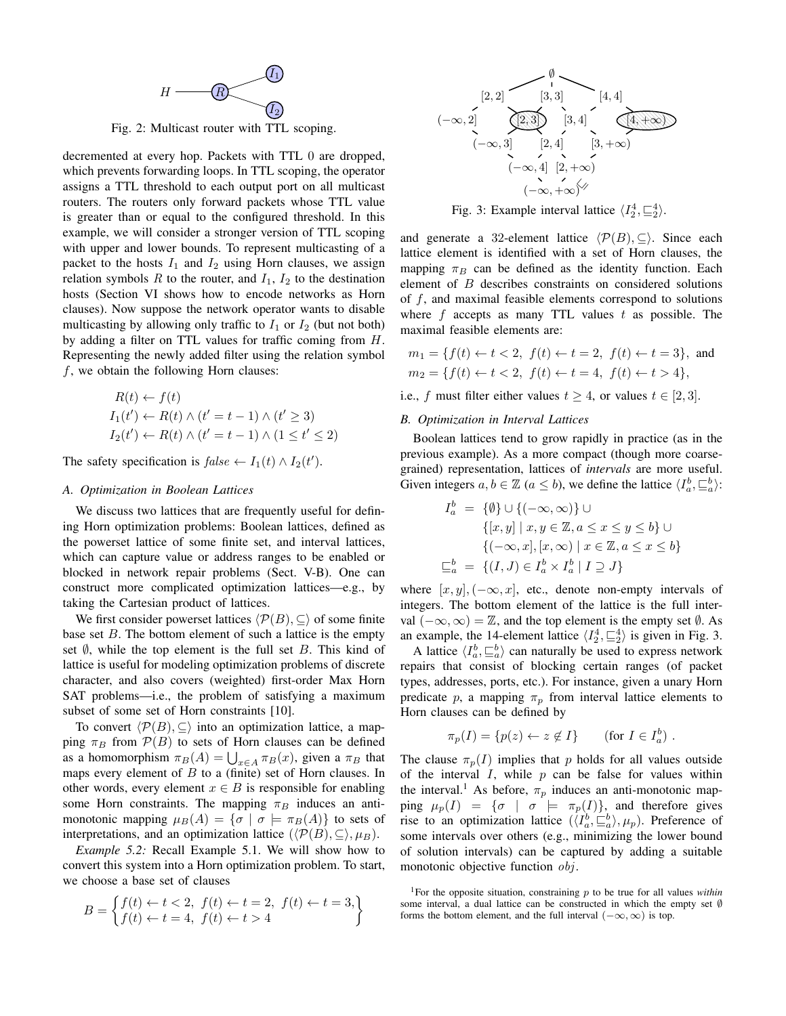

Fig. 2: Multicast router with TTL scoping.

decremented at every hop. Packets with TTL 0 are dropped, which prevents forwarding loops. In TTL scoping, the operator assigns a TTL threshold to each output port on all multicast routers. The routers only forward packets whose TTL value is greater than or equal to the configured threshold. In this example, we will consider a stronger version of TTL scoping with upper and lower bounds. To represent multicasting of a packet to the hosts  $I_1$  and  $I_2$  using Horn clauses, we assign relation symbols R to the router, and  $I_1$ ,  $I_2$  to the destination hosts (Section VI shows how to encode networks as Horn clauses). Now suppose the network operator wants to disable multicasting by allowing only traffic to  $I_1$  or  $I_2$  (but not both) by adding a filter on TTL values for traffic coming from H. Representing the newly added filter using the relation symbol  $f$ , we obtain the following Horn clauses:

$$
R(t) \leftarrow f(t)
$$
  
\n
$$
I_1(t') \leftarrow R(t) \land (t' = t - 1) \land (t' \ge 3)
$$
  
\n
$$
I_2(t') \leftarrow R(t) \land (t' = t - 1) \land (1 \le t' \le 2)
$$

The safety specification is  $false \leftarrow I_1(t) \wedge I_2(t')$ .

## *A. Optimization in Boolean Lattices*

We discuss two lattices that are frequently useful for defining Horn optimization problems: Boolean lattices, defined as the powerset lattice of some finite set, and interval lattices, which can capture value or address ranges to be enabled or blocked in network repair problems (Sect. V-B). One can construct more complicated optimization lattices—e.g., by taking the Cartesian product of lattices.

We first consider powerset lattices  $\langle \mathcal{P}(B), \subseteq \rangle$  of some finite base set  $B$ . The bottom element of such a lattice is the empty set  $\emptyset$ , while the top element is the full set B. This kind of lattice is useful for modeling optimization problems of discrete character, and also covers (weighted) first-order Max Horn SAT problems—i.e., the problem of satisfying a maximum subset of some set of Horn constraints [10].

To convert  $\langle \mathcal{P}(B), \subseteq \rangle$  into an optimization lattice, a mapping  $\pi_B$  from  $\mathcal{P}(B)$  to sets of Horn clauses can be defined as a homomorphism  $\pi_B(A) = \bigcup_{x \in A} \pi_B(x)$ , given a  $\pi_B$  that maps every element of  $B$  to a (finite) set of Horn clauses. In other words, every element  $x \in B$  is responsible for enabling some Horn constraints. The mapping  $\pi_B$  induces an antimonotonic mapping  $\mu_B(A) = {\sigma | \sigma \models \pi_B(A)}$  to sets of interpretations, and an optimization lattice  $(\langle \mathcal{P}(B), \subseteq \rangle, \mu_B)$ .

*Example 5.2:* Recall Example 5.1. We will show how to convert this system into a Horn optimization problem. To start, we choose a base set of clauses

$$
B = \begin{cases} f(t) \leftarrow t < 2, \ f(t) \leftarrow t = 2, \ f(t) \leftarrow t = 3, \\ f(t) \leftarrow t = 4, \ f(t) \leftarrow t > 4 \end{cases}
$$



Fig. 3: Example interval lattice  $\langle I_2^4, \sqsubseteq_2^4 \rangle$ .

and generate a 32-element lattice  $\langle \mathcal{P}(B), \subseteq \rangle$ . Since each lattice element is identified with a set of Horn clauses, the mapping  $\pi_B$  can be defined as the identity function. Each element of B describes constraints on considered solutions of f, and maximal feasible elements correspond to solutions where f accepts as many TTL values  $t$  as possible. The maximal feasible elements are:

$$
m_1 = \{ f(t) \leftarrow t < 2, \ f(t) \leftarrow t = 2, \ f(t) \leftarrow t = 3 \}, \text{ and}
$$
\n
$$
m_2 = \{ f(t) \leftarrow t < 2, \ f(t) \leftarrow t = 4, \ f(t) \leftarrow t > 4 \},
$$

i.e., f must filter either values  $t \geq 4$ , or values  $t \in [2, 3]$ .

## *B. Optimization in Interval Lattices*

Boolean lattices tend to grow rapidly in practice (as in the previous example). As a more compact (though more coarsegrained) representation, lattices of *intervals* are more useful. Given integers  $a, b \in \mathbb{Z}$  ( $a \leq b$ ), we define the lattice  $\langle I_a^b, \underline{\sqsubseteq}^b_a \rangle$ :

$$
I_a^b = \{ \emptyset \} \cup \{ (-\infty, \infty) \} \cup
$$
  

$$
\{ [x, y] \mid x, y \in \mathbb{Z}, a \le x \le y \le b \} \cup
$$
  

$$
\{ (-\infty, x], [x, \infty) \mid x \in \mathbb{Z}, a \le x \le b \}
$$
  

$$
\sqsubseteq_a^b = \{ (I, J) \in I_a^b \times I_a^b \mid I \supseteq J \}
$$

where  $[x, y]$ ,  $(-\infty, x]$ , etc., denote non-empty intervals of integers. The bottom element of the lattice is the full interval  $(-\infty, \infty) = \mathbb{Z}$ , and the top element is the empty set  $\emptyset$ . As an example, the 14-element lattice  $\langle I_2^4, \underline{\sqsubseteq_2^4} \rangle$  is given in Fig. 3.

A lattice  $\langle I_a^b, \underline{\sqsubseteq}^b_a \rangle$  can naturally be used to express network repairs that consist of blocking certain ranges (of packet types, addresses, ports, etc.). For instance, given a unary Horn predicate p, a mapping  $\pi_p$  from interval lattice elements to Horn clauses can be defined by

$$
\pi_p(I) = \{p(z) \leftarrow z \notin I\} \qquad \text{(for } I \in I_a^b) .
$$

The clause  $\pi_p(I)$  implies that p holds for all values outside of the interval  $I$ , while  $p$  can be false for values within the interval.<sup>1</sup> As before,  $\pi_p$  induces an anti-monotonic mapping  $\mu_p(I) = {\sigma | \sigma \models \pi_p(I)},$  and therefore gives rise to an optimization lattice  $(\langle I_a^b, \sqsubseteq_a^b \rangle, \mu_p)$ . Preference of some intervals over others (e.g., minimizing the lower bound of solution intervals) can be captured by adding a suitable monotonic objective function *obj*.

<sup>&</sup>lt;sup>1</sup>For the opposite situation, constraining  $p$  to be true for all values *within* some interval, a dual lattice can be constructed in which the empty set Ø forms the bottom element, and the full interval  $(-\infty, \infty)$  is top.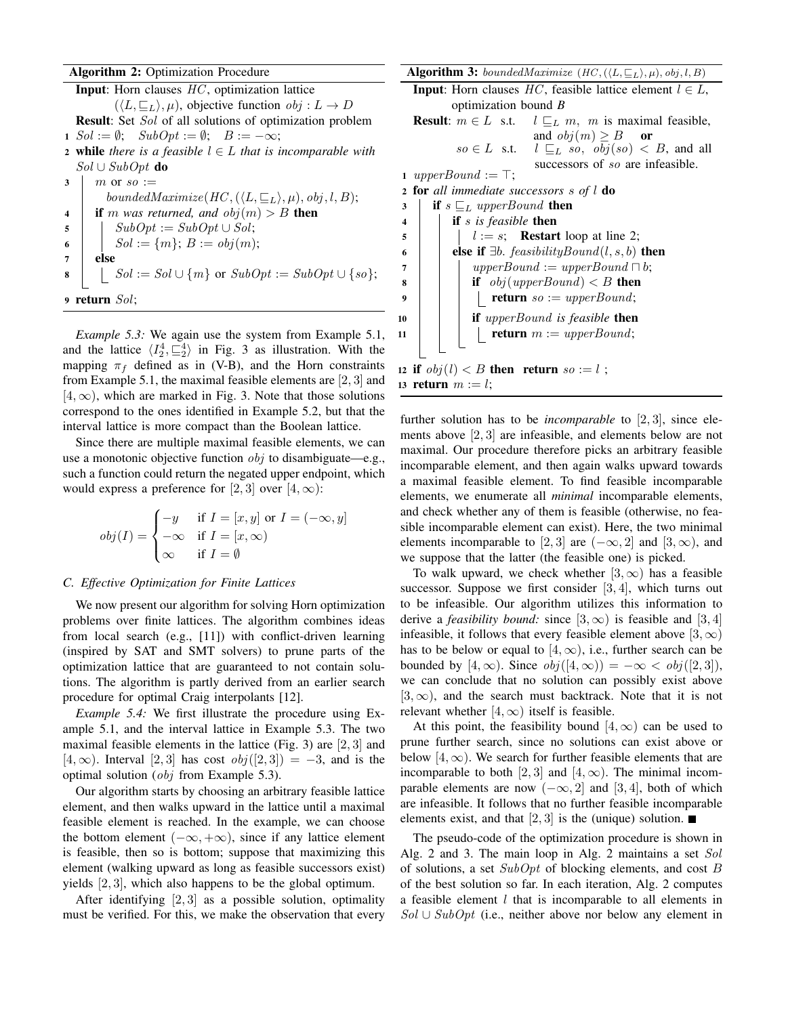# Algorithm 2: Optimization Procedure

|                      | <b>Input:</b> Horn clauses $HC$ , optimization lattice                        |  |  |  |  |  |  |
|----------------------|-------------------------------------------------------------------------------|--|--|--|--|--|--|
|                      | $(\langle L, \sqsubseteq_L \rangle, \mu)$ , objective function $obj: L \to D$ |  |  |  |  |  |  |
|                      | <b>Result:</b> Set <i>Sol</i> of all solutions of optimization problem        |  |  |  |  |  |  |
|                      | 1 $Sol := \emptyset; SubOpt := \emptyset; B := -\infty;$                      |  |  |  |  |  |  |
|                      | <b>2</b> while there is a feasible $l \in L$ that is incomparable with        |  |  |  |  |  |  |
|                      | $Sol \cup SubOpt$ do                                                          |  |  |  |  |  |  |
| 3                    | m or $so :=$                                                                  |  |  |  |  |  |  |
|                      | boundedMaximize(HC, $(\langle L, \subseteq_L \rangle, \mu)$ , obj, l, B);     |  |  |  |  |  |  |
| $\boldsymbol{4}$     | <b>if</b> m was returned, and $obj(m) > B$ <b>then</b>                        |  |  |  |  |  |  |
| 5                    | $SubOpt := SubOpt \cup Sol;$                                                  |  |  |  |  |  |  |
| 6                    | $Sol := \{m\}; B := obj(m);$                                                  |  |  |  |  |  |  |
| 7                    | else                                                                          |  |  |  |  |  |  |
| 8                    | $Sol := Sol \cup \{m\}$ or $SubOpt := SubOpt \cup \{so\};$                    |  |  |  |  |  |  |
|                      |                                                                               |  |  |  |  |  |  |
| return Sol:<br>$9-1$ |                                                                               |  |  |  |  |  |  |

*Example 5.3:* We again use the system from Example 5.1, and the lattice  $\langle I_2^4, \underline{\sqsubseteq}^4_2 \rangle$  in Fig. 3 as illustration. With the mapping  $\pi_f$  defined as in (V-B), and the Horn constraints from Example 5.1, the maximal feasible elements are [2, 3] and  $[4, \infty)$ , which are marked in Fig. 3. Note that those solutions correspond to the ones identified in Example 5.2, but that the interval lattice is more compact than the Boolean lattice.

Since there are multiple maximal feasible elements, we can use a monotonic objective function  $obj$  to disambiguate—e.g., such a function could return the negated upper endpoint, which would express a preference for [2, 3] over [4,  $\infty$ ):

$$
obj(I) = \begin{cases} -y & \text{if } I = [x, y] \text{ or } I = (-\infty, y] \\ -\infty & \text{if } I = [x, \infty) \\ \infty & \text{if } I = \emptyset \end{cases}
$$

## *C. Effective Optimization for Finite Lattices*

We now present our algorithm for solving Horn optimization problems over finite lattices. The algorithm combines ideas from local search (e.g., [11]) with conflict-driven learning (inspired by SAT and SMT solvers) to prune parts of the optimization lattice that are guaranteed to not contain solutions. The algorithm is partly derived from an earlier search procedure for optimal Craig interpolants [12].

*Example 5.4:* We first illustrate the procedure using Example 5.1, and the interval lattice in Example 5.3. The two maximal feasible elements in the lattice (Fig. 3) are [2, 3] and  $[4, \infty)$ . Interval  $[2, 3]$  has cost  $obj([2, 3]) = -3$ , and is the optimal solution (obj from Example 5.3).

Our algorithm starts by choosing an arbitrary feasible lattice element, and then walks upward in the lattice until a maximal feasible element is reached. In the example, we can choose the bottom element  $(-\infty, +\infty)$ , since if any lattice element is feasible, then so is bottom; suppose that maximizing this element (walking upward as long as feasible successors exist) yields [2, 3], which also happens to be the global optimum.

After identifying  $[2, 3]$  as a possible solution, optimality must be verified. For this, we make the observation that every Algorithm 3: boundedMaximize  $(HC, (\langle L, \sqsubseteq_L \rangle, \mu), obj, l, B)$ 

**Input:** Horn clauses  $HC$ , feasible lattice element  $l \in L$ , optimization bound *B* **Result:**  $m \in L$  s.t.  $l \sqsubseteq_L m$ , m is maximal feasible, and  $obj(m) \geq B$  or  $so \in L$  s.t.  $l \sqsubseteq_L so, obj(so) < B$ , and all

successors of so are infeasible. 1 upperBound :=  $\top$ ;

<sup>2</sup> for *all immediate successors* s *of* l do

 $\mathbf{3}$  if  $s \sqsubseteq_L upperBound$  then <sup>4</sup> if s *is feasible* then  $\mathfrak{s}$  | |  $l := s$ ; Restart loop at line 2; 6 **else if**  $\exists b.$  *feasibilityBound*(*l*, *s*, *b*) **then** 7 | | upperBound := upperBound  $\sqcap b$ ;  $\mathbf{s}$  | | if  $obj(upperBound) < B$  then  $\mathsf{P} \left\{\begin{array}{c} \mathsf{P} \left\{\begin{array}{c} \mathsf{P} \left( \mathsf{P} \mathsf{P} \right) \mathsf{P} \left( \mathsf{P} \right) = \mathsf{P} \left( \mathsf{P} \mathsf{P} \mathsf{P} \mathsf{P} \mathsf{P} \mathsf{P} \mathsf{P} \mathsf{P} \mathsf{P} \mathsf{P} \mathsf{P} \mathsf{P} \mathsf{P} \mathsf{P} \mathsf{P} \mathsf{P} \mathsf{P} \mathsf{P} \mathsf{P} \mathsf{P} \mathsf{P} \mathsf{P} \mathsf{$ 10 **if** upperBound is feasible **then** 11 | | **return**  $m := upperBound;$ 12 if  $obj(l) < B$  then return so := l;

13 return  $m := l$ ; further solution has to be *incomparable* to [2, 3], since ele-

ments above [2, 3] are infeasible, and elements below are not maximal. Our procedure therefore picks an arbitrary feasible incomparable element, and then again walks upward towards a maximal feasible element. To find feasible incomparable elements, we enumerate all *minimal* incomparable elements, and check whether any of them is feasible (otherwise, no feasible incomparable element can exist). Here, the two minimal elements incomparable to [2, 3] are  $(-\infty, 2]$  and [3,  $\infty$ ), and we suppose that the latter (the feasible one) is picked.

To walk upward, we check whether  $[3, \infty)$  has a feasible successor. Suppose we first consider [3, 4], which turns out to be infeasible. Our algorithm utilizes this information to derive a *feasibility bound:* since  $[3, \infty)$  is feasible and  $[3, 4]$ infeasible, it follows that every feasible element above  $[3, \infty)$ has to be below or equal to [4,  $\infty$ ), i.e., further search can be bounded by [4, ∞). Since  $obj([4, \infty)) = -\infty < obj([2, 3]),$ we can conclude that no solution can possibly exist above  $[3, \infty)$ , and the search must backtrack. Note that it is not relevant whether  $[4, \infty)$  itself is feasible.

At this point, the feasibility bound  $[4, \infty)$  can be used to prune further search, since no solutions can exist above or below [4,  $\infty$ ). We search for further feasible elements that are incomparable to both [2, 3] and [4,  $\infty$ ). The minimal incomparable elements are now  $(-\infty, 2]$  and [3, 4], both of which are infeasible. It follows that no further feasible incomparable elements exist, and that [2, 3] is the (unique) solution.  $\blacksquare$ 

The pseudo-code of the optimization procedure is shown in Alg. 2 and 3. The main loop in Alg. 2 maintains a set Sol of solutions, a set  $SubOpt$  of blocking elements, and cost B of the best solution so far. In each iteration, Alg. 2 computes a feasible element  $l$  that is incomparable to all elements in  $Sol \cup SubOpt$  (i.e., neither above nor below any element in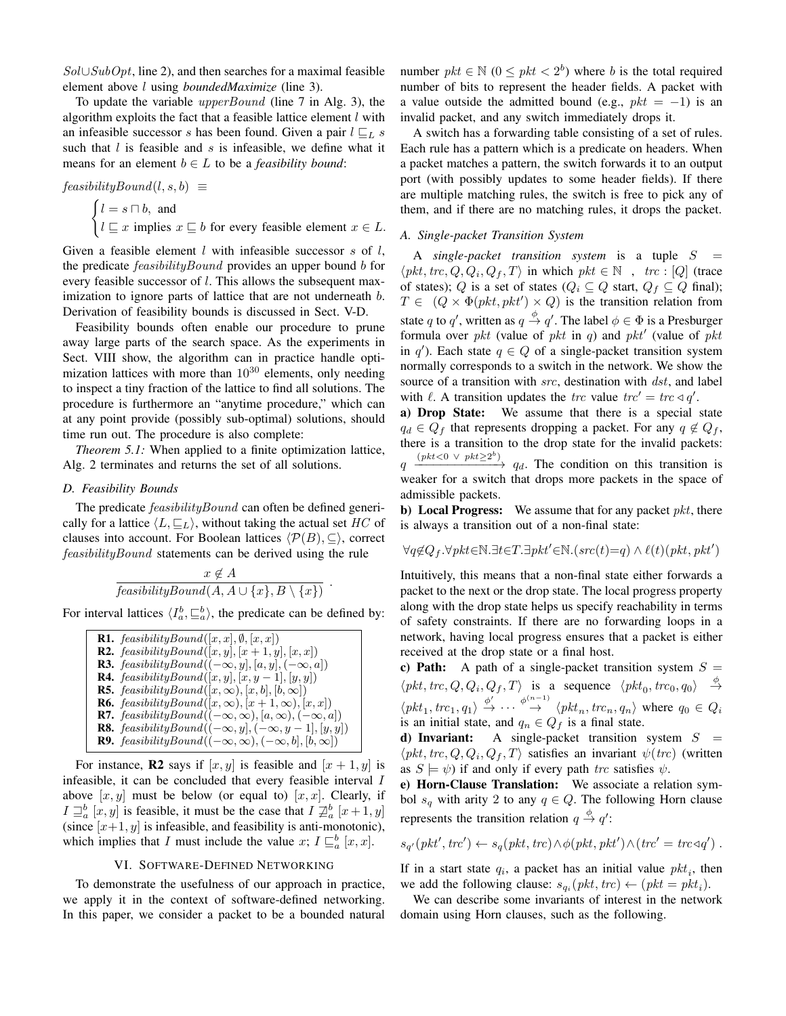$Sol \cup SubOpt$ , line 2), and then searches for a maximal feasible element above l using *boundedMaximize* (line 3).

To update the variable *upperBound* (line 7 in Alg. 3), the algorithm exploits the fact that a feasible lattice element  $l$  with an infeasible successor s has been found. Given a pair  $l \sqsubseteq_L s$ such that  $l$  is feasible and  $s$  is infeasible, we define what it means for an element  $b \in L$  to be a *feasibility bound*:

$$
feasibilityBound(l, s, b) \equiv
$$

 $\int l = s \sqcap b$ , and  $l \sqsubseteq x$  implies  $x \sqsubseteq b$  for every feasible element  $x \in L$ .

Given a feasible element  $l$  with infeasible successor  $s$  of  $l$ , the predicate *feasibilityBound* provides an upper bound *b* for every feasible successor of *l*. This allows the subsequent maximization to ignore parts of lattice that are not underneath b. Derivation of feasibility bounds is discussed in Sect. V-D.

Feasibility bounds often enable our procedure to prune away large parts of the search space. As the experiments in Sect. VIII show, the algorithm can in practice handle optimization lattices with more than  $10^{30}$  elements, only needing to inspect a tiny fraction of the lattice to find all solutions. The procedure is furthermore an "anytime procedure," which can at any point provide (possibly sub-optimal) solutions, should time run out. The procedure is also complete:

*Theorem 5.1:* When applied to a finite optimization lattice, Alg. 2 terminates and returns the set of all solutions.

# *D. Feasibility Bounds*

The predicate *feasibilityBound* can often be defined generically for a lattice  $\langle L, \underline{\sqsubseteq_L} \rangle$ , without taking the actual set HC of clauses into account. For Boolean lattices  $\langle \mathcal{P}(B), \subseteq \rangle$ , correct feasibilityBound statements can be derived using the rule

$$
\frac{x \notin A}{\text{feasibilityBound}(A, A \cup \{x\}, B \setminus \{x\})} \ .
$$

For interval lattices  $\langle I_a^b, \underline{\sqsubseteq}^b_a \rangle$ , the predicate can be defined by:

```
R1. feasibilityBound([x, x], \emptyset, [x, x])
R2. feasibilityBound([x, y], [x + 1, y], [x, x])R3. feasibilityBound((-\infty, y], [a, y], (-\infty, a])
R4. feasibilityBound([x, y], [x, y - 1], [y, y])R5. feasibilityBound([x, \infty), [x, b], [b, \infty])R6. feasibilityBound([x, \infty), [x + 1, \infty), [x, x])
R7. feasibilityBound((-\infty, \infty), [a, \infty), (-\infty, a])
R8. feasibilityBound((-\infty, y], (-\infty, y - 1], [y, y])R9. feasibilityBound((-\infty, \infty), (-\infty, b], [b, \infty])
```
For instance, **R2** says if  $[x, y]$  is feasible and  $[x + 1, y]$  is infeasible, it can be concluded that every feasible interval I above  $[x, y]$  must be below (or equal to)  $[x, x]$ . Clearly, if  $I \sqsupseteq_a^b [x, y]$  is feasible, it must be the case that  $I \not\sqsupseteq_a^b [x+1, y]$ (since  $[x+1, y]$  is infeasible, and feasibility is anti-monotonic), which implies that I must include the value x;  $I \sqsubseteq_a^b [x, x]$ .

# VI. SOFTWARE-DEFINED NETWORKING

To demonstrate the usefulness of our approach in practice, we apply it in the context of software-defined networking. In this paper, we consider a packet to be a bounded natural

number  $pkt \in \mathbb{N}$   $(0 \leq pkt < 2<sup>b</sup>)$  where *b* is the total required number of bits to represent the header fields. A packet with a value outside the admitted bound (e.g.,  $pkt = -1$ ) is an invalid packet, and any switch immediately drops it.

A switch has a forwarding table consisting of a set of rules. Each rule has a pattern which is a predicate on headers. When a packet matches a pattern, the switch forwards it to an output port (with possibly updates to some header fields). If there are multiple matching rules, the switch is free to pick any of them, and if there are no matching rules, it drops the packet.

## *A. Single-packet Transition System*

A *single-packet transition system* is a tuple S =  $\langle pkt, trc, Q, Q_i, Q_f, T \rangle$  in which  $pkt \in \mathbb{N}$ ,  $trc$ : [Q] (trace of states); Q is a set of states ( $Q_i \subseteq Q$  start,  $Q_f \subseteq Q$  final);  $T \in (Q \times \Phi(\text{pkt}, \text{pkt}') \times Q)$  is the transition relation from state q to q', written as  $q \stackrel{\phi}{\rightarrow} q'$ . The label  $\phi \in \Phi$  is a Presburger formula over pkt (value of pkt in q) and pkt' (value of pkt in q'). Each state  $q \in Q$  of a single-packet transition system normally corresponds to a switch in the network. We show the source of a transition with src, destination with dst, and label with  $\ell$ . A transition updates the trc value trc' = trc  $\triangleleft q'$ .

a) Drop State: We assume that there is a special state  $q_d \in Q_f$  that represents dropping a packet. For any  $q \notin Q_f$ , there is a transition to the drop state for the invalid packets:  $q \xrightarrow{(pkt < 0 \vee pkt \geq 2^b)} q_d$ . The condition on this transition is weaker for a switch that drops more packets in the space of admissible packets.

**b)** Local Progress: We assume that for any packet *pkt*, there is always a transition out of a non-final state:

$$
\forall q {\notin} Q_f. \forall pkt {\in} \mathbb{N}. \exists t {\in} T. \exists pkt' {\in} \mathbb{N}. (src(t) {=} q) \land \ell(t) (pkt, plt')
$$

Intuitively, this means that a non-final state either forwards a packet to the next or the drop state. The local progress property along with the drop state helps us specify reachability in terms of safety constraints. If there are no forwarding loops in a network, having local progress ensures that a packet is either received at the drop state or a final host.

c) Path: A path of a single-packet transition system  $S =$  $\langle pkt, trc, Q, Q_i, Q_f, T \rangle$  is a sequence  $\langle pkt_0, trc_0, q_0 \rangle \stackrel{\phi}{\rightarrow}$  $\langle pkt_1, trc_1, q_1 \rangle \stackrel{\phi'}{\rightarrow} \cdots \stackrel{\phi^{(n-1)}}{\rightarrow} \langle pkt_n, trc_n, q_n \rangle$  where  $q_0 \in Q_i$ is an initial state, and  $q_n \in Q_f$  is a final state.

d) Invariant: A single-packet transition system  $S =$  $\langle pkt, trc, Q, Q_i, Q_f, T \rangle$  satisfies an invariant  $\psi (trc)$  (written as  $S \models \psi$  if and only if every path trc satisfies  $\psi$ .

e) Horn-Clause Translation: We associate a relation symbol  $s_q$  with arity 2 to any  $q \in Q$ . The following Horn clause represents the transition relation  $q \stackrel{\phi}{\rightarrow} q'$ :

$$
s_{q'}(pkt',\text{trc}') \leftarrow s_q(pkt,\text{trc}) \land \phi(\text{pst},\text{plt}') \land (\text{trc}' = \text{trc} \triangleleft q') .
$$

If in a start state  $q_i$ , a packet has an initial value  $pkt_i$ , then we add the following clause:  $s_{q_i}(pkt, trc) \leftarrow (pkt = pkt_i)$ .

We can describe some invariants of interest in the network domain using Horn clauses, such as the following.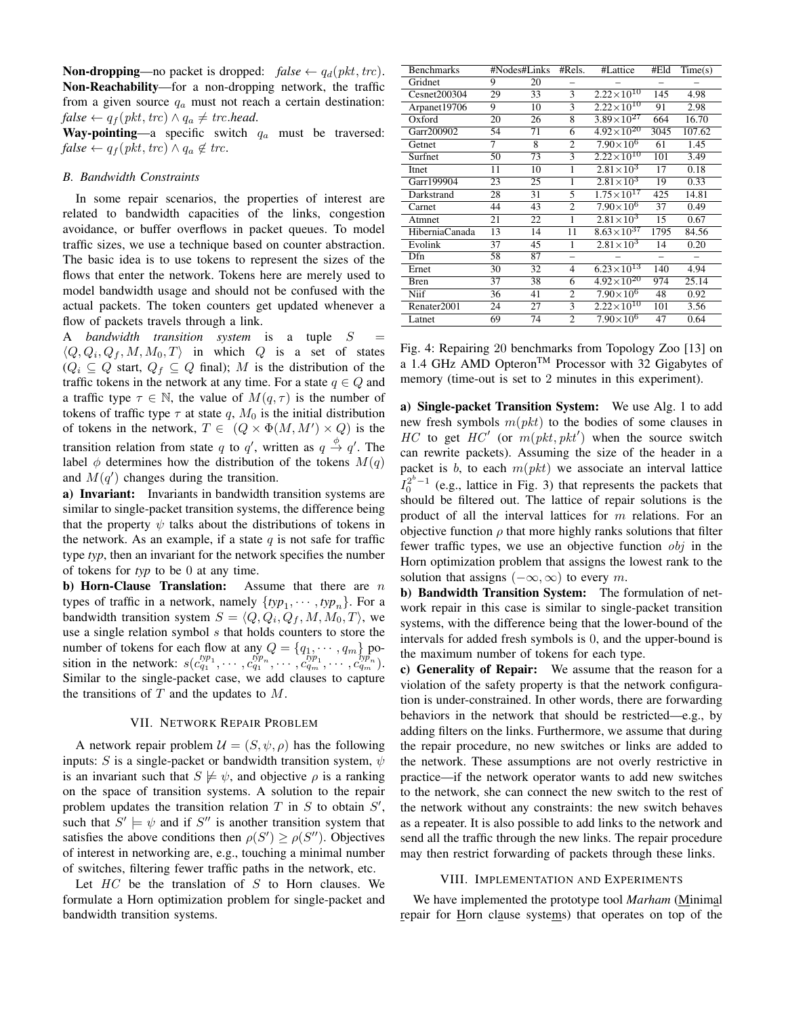**Non-dropping—no** packet is dropped:  $false \leftarrow q_d(pkt, trc)$ . Non-Reachability—for a non-dropping network, the traffic from a given source  $q_a$  must not reach a certain destination:  $false \leftarrow q_f(\text{pkt}, \text{trc}) \land q_a \neq \text{trc}.\text{head}.$ 

Way-pointing—a specific switch  $q_a$  must be traversed:  $false \leftarrow q_f(\text{pkt}, \text{trc}) \land q_a \notin \text{trc}.$ 

# *B. Bandwidth Constraints*

In some repair scenarios, the properties of interest are related to bandwidth capacities of the links, congestion avoidance, or buffer overflows in packet queues. To model traffic sizes, we use a technique based on counter abstraction. The basic idea is to use tokens to represent the sizes of the flows that enter the network. Tokens here are merely used to model bandwidth usage and should not be confused with the actual packets. The token counters get updated whenever a flow of packets travels through a link.

A *bandwidth transition system* is a tuple  $S =$  $\langle Q, Q_i, Q_f, M, M_0, T \rangle$  in which Q is a set of states  $(Q_i \subseteq Q$  start,  $Q_f \subseteq Q$  final); M is the distribution of the traffic tokens in the network at any time. For a state  $q \in Q$  and a traffic type  $\tau \in \mathbb{N}$ , the value of  $M(q, \tau)$  is the number of tokens of traffic type  $\tau$  at state q,  $M_0$  is the initial distribution of tokens in the network,  $T \in (Q \times \Phi(M, M') \times Q)$  is the transition relation from state q to q', written as  $q \stackrel{\phi}{\rightarrow} q'$ . The label  $\phi$  determines how the distribution of the tokens  $M(q)$ and  $M(q')$  changes during the transition.

a) Invariant: Invariants in bandwidth transition systems are similar to single-packet transition systems, the difference being that the property  $\psi$  talks about the distributions of tokens in the network. As an example, if a state  $q$  is not safe for traffic type *typ*, then an invariant for the network specifies the number of tokens for *typ* to be 0 at any time.

b) Horn-Clause Translation: Assume that there are  $n$ types of traffic in a network, namely  $\{ typ_1, \cdots, typ_n\}$ . For a bandwidth transition system  $S = \langle Q, Q_i, Q_f, M, M_0, T \rangle$ , we use a single relation symbol  $s$  that holds counters to store the number of tokens for each flow at any  $Q = \{q_1, \dots, q_m\}$  position in the network:  $s(c_{q_1}^{typ_1}, \cdots, c_{q_1}^{typ_n}, \cdots, c_{q_m}^{typ_n}, \cdots, c_{q_m}^{typ_n}).$ Similar to the single-packet case, we add clauses to capture the transitions of  $T$  and the updates to  $M$ .

## VII. NETWORK REPAIR PROBLEM

A network repair problem  $\mathcal{U} = (S, \psi, \rho)$  has the following inputs: S is a single-packet or bandwidth transition system,  $\psi$ is an invariant such that  $S \not\models \psi$ , and objective  $\rho$  is a ranking on the space of transition systems. A solution to the repair problem updates the transition relation  $T$  in  $S$  to obtain  $S'$ , such that  $S' \models \psi$  and if  $S''$  is another transition system that satisfies the above conditions then  $\rho(S') \geq \rho(S'')$ . Objectives of interest in networking are, e.g., touching a minimal number of switches, filtering fewer traffic paths in the network, etc.

Let  $HC$  be the translation of  $S$  to Horn clauses. We formulate a Horn optimization problem for single-packet and bandwidth transition systems.

| <b>Benchmarks</b> |    | #Nodes#Links | #Rels.                   | #Lattice                       | #Eld                     | Time(s) |
|-------------------|----|--------------|--------------------------|--------------------------------|--------------------------|---------|
| Gridnet           | 9  | 20           |                          |                                |                          |         |
| Cesnet200304      | 29 | 33           | 3                        | $2.\overline{22\times10^{10}}$ | 145                      | 4.98    |
| Arpanet19706      | 9  | 10           | 3                        | $2.22\times10^{10}$            | 91                       | 2.98    |
| Oxford            | 20 | 26           | 8                        | $3.89\times10^{27}$            | 664                      | 16.70   |
| Garr200902        | 54 | 71           | 6                        | $4.92 \times 10^{20}$          | 3045                     | 107.62  |
| Getnet            | 7  | 8            | $\overline{c}$           | $7.90\times10^{6}$             | 61                       | 1.45    |
| Surfnet           | 50 | 73           | 3                        | $2.22 \times 10^{10}$          | 101                      | 3.49    |
| Itnet             | 11 | 10           | 1                        | $2.81\times10^{3}$             | 17                       | 0.18    |
| Garr199904        | 23 | 25           | $\mathbf{1}$             | $2.81\times10^{3}$             | 19                       | 0.33    |
| Darkstrand        | 28 | 31           | 5                        | $1.75\times10^{17}$            | 425                      | 14.81   |
| Carnet            | 44 | 43           | 2                        | $7.90\times10^{6}$             | 37                       | 0.49    |
| Atmnet            | 21 | 22           | 1                        | $2.81\times10^{3}$             | 15                       | 0.67    |
| HiberniaCanada    | 13 | 14           | 11                       | $8.63\times10^{37}$            | 1795                     | 84.56   |
| Evolink           | 37 | 45           | 1                        | $2.81\times10^{3}$             | 14                       | 0.20    |
| Dfn               | 58 | 87           | $\overline{\phantom{0}}$ |                                | $\overline{\phantom{0}}$ |         |
| Ernet             | 30 | 32           | 4                        | $6.23\times10^{13}$            | 140                      | 4.94    |
| Bren              | 37 | 38           | 6                        | $4.92\times10^{20}$            | 974                      | 25.14   |
| Niif              | 36 | 41           | $\overline{c}$           | $7.90\times10^{6}$             | 48                       | 0.92    |
| Renater2001       | 24 | 27           | 3                        | $2.22\times10^{10}$            | 101                      | 3.56    |
| Latnet            | 69 | 74           | $\overline{c}$           | $7.90\times10^{6}$             | 47                       | 0.64    |

Fig. 4: Repairing 20 benchmarks from Topology Zoo [13] on a 1.4 GHz AMD Opteron<sup>TM</sup> Processor with 32 Gigabytes of memory (time-out is set to 2 minutes in this experiment).

a) Single-packet Transition System: We use Alg. 1 to add new fresh symbols  $m(pkt)$  to the bodies of some clauses in HC to get  $HC'$  (or  $m(pkt, pkt')$  when the source switch can rewrite packets). Assuming the size of the header in a packet is b, to each  $m(pkt)$  we associate an interval lattice  $I_0^{2^b-1}$  (e.g., lattice in Fig. 3) that represents the packets that should be filtered out. The lattice of repair solutions is the product of all the interval lattices for  $m$  relations. For an objective function  $\rho$  that more highly ranks solutions that filter fewer traffic types, we use an objective function  $obj$  in the Horn optimization problem that assigns the lowest rank to the solution that assigns  $(-\infty, \infty)$  to every m.

b) Bandwidth Transition System: The formulation of network repair in this case is similar to single-packet transition systems, with the difference being that the lower-bound of the intervals for added fresh symbols is 0, and the upper-bound is the maximum number of tokens for each type.

c) Generality of Repair: We assume that the reason for a violation of the safety property is that the network configuration is under-constrained. In other words, there are forwarding behaviors in the network that should be restricted—e.g., by adding filters on the links. Furthermore, we assume that during the repair procedure, no new switches or links are added to the network. These assumptions are not overly restrictive in practice—if the network operator wants to add new switches to the network, she can connect the new switch to the rest of the network without any constraints: the new switch behaves as a repeater. It is also possible to add links to the network and send all the traffic through the new links. The repair procedure may then restrict forwarding of packets through these links.

#### VIII. IMPLEMENTATION AND EXPERIMENTS

We have implemented the prototype tool *Marham* (Minimal repair for Horn clause systems) that operates on top of the